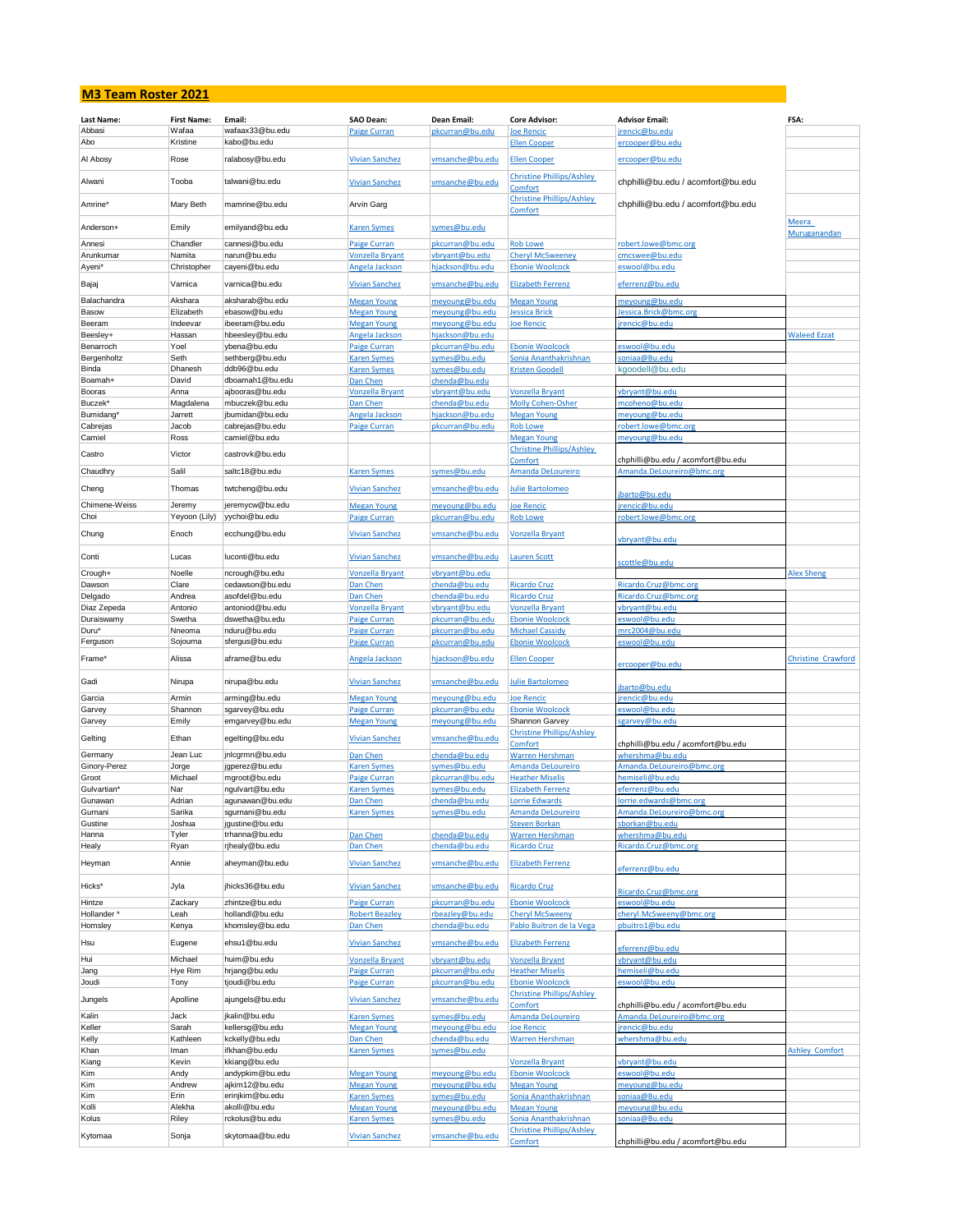## **M3 Team Roster 2021**

| <b>Last Name:</b>     | <b>First Name:</b> | Email:                          | SAO Dean:              |                 |                                                        | <b>Advisor Email:</b>             | FSA:                      |
|-----------------------|--------------------|---------------------------------|------------------------|-----------------|--------------------------------------------------------|-----------------------------------|---------------------------|
| Abbasi                | Wafaa              | wafaax33@bu.edu                 |                        | Dean Email:     | <b>Core Advisor:</b>                                   |                                   |                           |
| Abo                   | Kristine           | kabo@bu.edu                     | <b>Paige Curran</b>    | pkcurran@bu.edu | <b>Joe Rencic</b><br><b>Ellen Cooper</b>               | jrencic@bu.edu<br>ercooper@bu.edu |                           |
|                       |                    |                                 |                        |                 |                                                        |                                   |                           |
| Al Abosy              | Rose               | ralabosy@bu.edu                 | <b>Vivian Sanchez</b>  | vmsanche@bu.edu | <b>Ellen Cooper</b>                                    | ercooper@bu.edu                   |                           |
| Alwani                | Tooba              | talwani@bu.edu                  | <b>Vivian Sanchez</b>  | vmsanche@bu.edu | <b>Christine Phillips/Ashley</b><br>Comfort            | chphilli@bu.edu / acomfort@bu.edu |                           |
| Amrine*               | Mary Beth          | mamrine@bu.edu                  | Arvin Garg             |                 | <b>Christine Phillips/Ashley</b><br>Comfort            | chphilli@bu.edu / acomfort@bu.edu |                           |
| Anderson+             | Emily              | emilyand@bu.edu                 | <b>Karen Symes</b>     | symes@bu.edu    |                                                        |                                   | Meera<br>Muruganandan     |
| Annesi                | Chandler           | cannesi@bu.edu                  | <b>Paige Curran</b>    | pkcurran@bu.edu | <b>Rob Lowe</b>                                        | robert.lowe@bmc.org               |                           |
| Arunkumar             | Namita             | narun@bu.edu                    | <b>Vonzella Bryant</b> | vbryant@bu.edu  | <b>Cheryl McSweeney</b>                                | cmcswee@bu.edu                    |                           |
| Ayeni*                | Christopher        | cayeni@bu.edu                   | Angela Jackson         | hjackson@bu.edu | <b>Ebonie Woolcock</b>                                 | eswool@bu.edu                     |                           |
| Bajaj                 | Varnica            | varnica@bu.edu                  | <b>Vivian Sanchez</b>  | vmsanche@bu.edu | <b>Elizabeth Ferrenz</b>                               | eferrenz@bu.edu                   |                           |
|                       |                    |                                 |                        |                 |                                                        |                                   |                           |
| Balachandra           | Akshara            | aksharab@bu.edu                 | <b>Megan Young</b>     | meyoung@bu.edu  | <b>Megan Young</b>                                     | mevoung@bu.edu                    |                           |
| Basow                 | Elizabeth          | ebasow@bu.edu                   | <b>Megan Young</b>     | meyoung@bu.edu  | <b>Jessica Brick</b>                                   | essica.Brick@bmc.org              |                           |
| Beeram                | Indeevar           | ibeeram@bu.edu                  | <b>Megan Young</b>     | meyoung@bu.edu  | <b>Joe Rencic</b>                                      | rencic@bu.edu                     |                           |
| Beesley+              | Hassan             | hbeesley@bu.edu                 | <b>Angela Jackson</b>  | hjackson@bu.edu |                                                        |                                   | <b>Waleed Ezzat</b>       |
| Benarroch             | Yoel               | ybena@bu.edu                    | <b>Paige Curran</b>    | pkcurran@bu.edu | <b>Ebonie Woolcock</b>                                 | eswool@bu.edu                     |                           |
| Bergenholtz           | Seth               | sethberg@bu.edu                 | <b>Karen Symes</b>     | symes@bu.edu    | Sonia Ananthakrishnan                                  | oniaa@Bu.edu                      |                           |
| Binda                 | Dhanesh            | ddb96@bu.edu                    | <b>Karen Symes</b>     | symes@bu.edu    | <b>Kristen Goodell</b>                                 | kgoodell@bu.edu                   |                           |
| Boamah+               | David              | dboamah1@bu.edu                 | Dan Chen               | chenda@bu.edu   |                                                        |                                   |                           |
| Booras                | Anna               | ajbooras@bu.edu                 | <b>Vonzella Bryant</b> | vbryant@bu.edu  | <b>Vonzella Bryant</b>                                 | /bryant@bu.edu                    |                           |
| Buczek*               | Magdalena          | mbuczek@bu.edu                  | Dan Chen               | chenda@bu.edu   | <b>Molly Cohen-Osher</b>                               | mcoheno@bu.edu                    |                           |
| Bumidang <sup>®</sup> | Jarrett            | jbumidan@bu.edu                 | Angela Jackson         | hjackson@bu.edu | <b>Megan Young</b>                                     | neyoung@bu.edu                    |                           |
| Cabrejas              | Jacob              | cabrejas@bu.edu                 | <b>Paige Curran</b>    | pkcurran@bu.edu | <b>Rob Lowe</b>                                        | obert.lowe@bmc.org                |                           |
| Camiel                | Ross               | camiel@bu.edu                   |                        |                 | <b>Megan Young</b><br><b>Christine Phillips/Ashley</b> | neyoung@bu.edu                    |                           |
| Castro                | Victor             | castrovk@bu.edu                 |                        |                 | Comfort                                                | chphilli@bu.edu / acomfort@bu.edu |                           |
| Chaudhry              | Salil              | saltc18@bu.edu                  | <b>Karen Symes</b>     | symes@bu.edu    | <b>Amanda DeLoureiro</b>                               | Amanda.DeLoureiro@bmc.org         |                           |
| Cheng                 | Thomas             | twtcheng@bu.edu                 | <b>Vivian Sanchez</b>  | vmsanche@bu.edu | <b>Julie Bartolomeo</b>                                | barto@bu.edu                      |                           |
| Chimene-Weiss         | Jeremy             | jeremycw@bu.edu                 | <b>Megan Young</b>     | meyoung@bu.edu  | <b>Joe Rencic</b>                                      | rencic@bu.edu                     |                           |
| Choi                  | Yeyoon (Lily)      | yychoi@bu.edu                   | <b>Paige Curran</b>    | pkcurran@bu.edu | <b>Rob Lowe</b>                                        | obert.lowe@bmc.org                |                           |
|                       |                    | ecchung@bu.edu                  |                        |                 |                                                        |                                   |                           |
| Chung                 | Enoch              |                                 | <b>Vivian Sanchez</b>  | vmsanche@bu.edu | <b>Vonzella Bryant</b>                                 | /bryant@bu.edu                    |                           |
| Conti                 | Lucas              | luconti@bu.edu                  | <b>Vivian Sanchez</b>  | vmsanche@bu.edu | Lauren Scott                                           | cottle@bu.edu                     |                           |
| Crough+               | Noelle             | ncrough@bu.edu                  | <b>Vonzella Bryant</b> | vbryant@bu.edu  |                                                        |                                   | <b>Alex Sheng</b>         |
| Dawson                | Clare              | cedawson@bu.edu                 | Dan Chen               | chenda@bu.edu   | <b>Ricardo Cruz</b>                                    | Ricardo.Cruz@bmc.org              |                           |
| Delgado               | Andrea             | asofdel@bu.edu                  | Dan Chen               | chenda@bu.edu   | <b>Ricardo Cruz</b>                                    | Ricardo.Cruz@bmc.org              |                           |
| Diaz Zepeda           | Antonio            | antoniod@bu.edu                 | <b>Vonzella Bryant</b> | vbryant@bu.edu  | <b>Vonzella Bryant</b>                                 | bryant@bu.edu                     |                           |
| Duraiswamy            | Swetha             | dswetha@bu.edu                  | <b>Paige Curran</b>    | pkcurran@bu.edu | <b>Ebonie Woolcock</b>                                 | swool@bu.edu                      |                           |
| Duru*                 | Nneoma             | nduru@bu.edu                    | Paige Curran           | pkcurran@bu.edu | <b>Michael Cassidy</b>                                 | nrc2004@bu.edu                    |                           |
| Ferguson              | Sojourna           | sfergus@bu.edu                  | <b>Paige Curran</b>    | pkcurran@bu.edu | <b>Ebonie Woolcock</b>                                 | eswool@bu.edu                     |                           |
| Frame*                | Alissa             | aframe@bu.edu                   | Angela Jackson         | hjackson@bu.edu | <b>Ellen Cooper</b>                                    | ercooper@bu.edu                   | <b>Christine Crawford</b> |
| Gadi                  | Nirupa             | nirupa@bu.edu                   | <b>Vivian Sanchez</b>  | vmsanche@bu.edu | Julie Bartolomeo                                       | barto@bu.edu                      |                           |
| Garcia                | Armin              | arming@bu.edu                   | <b>Megan Young</b>     | meyoung@bu.edu  | <b>Joe Rencic</b>                                      | rencic@bu.edu                     |                           |
| Garvey                | Shannon            | sgarvey@bu.edu                  | <b>Paige Curran</b>    | pkcurran@bu.edu | <b>Ebonie Woolcock</b>                                 | eswool@bu.edu                     |                           |
| Garvey                | Emily              | emgarvey@bu.edu                 | <b>Megan Young</b>     | meyoung@bu.edu  | Shannon Garvey                                         | garvey@bu.edu                     |                           |
| Gelting               | Ethan              | egelting@bu.edu                 | <b>Vivian Sanchez</b>  | vmsanche@bu.edu | <b>Christine Phillips/Ashley</b>                       |                                   |                           |
|                       |                    |                                 |                        |                 | Comfort                                                | chphilli@bu.edu / acomfort@bu.edu |                           |
| Germany               | Jean Luc           | jnlcgrmn@bu.edu                 | Dan Chen               | chenda@bu.edu   | <b>Warren Hershman</b>                                 | vhershma@bu.edu                   |                           |
| Ginory-Perez          | Jorge              | jgperez@bu.edu                  | <b>Karen Symes</b>     | symes@bu.edu    | Amanda DeLoureiro                                      | Amanda.DeLoureiro@bmc.org         |                           |
| Groot                 | Michael            | mgroot@bu.edu                   | <b>Paige Curran</b>    | pkcurran@bu.edu | <b>Heather Miselis</b>                                 | <u>nemiseli@bu.edu</u>            |                           |
| Gulvartian*           | Nar                | ngulvart@bu.edu                 | <b>Karen Symes</b>     | symes@bu.edu    | <b>Elizabeth Ferrenz</b>                               | eferrenz@bu.edu                   |                           |
| Gunawan               | Adrian             | agunawan@bu.edu                 | Dan Chen               | chenda@bu.edu   | Lorrie Edwards                                         | lorrie.edwards@bmc.org            |                           |
| Gurnani               | Sarika             | sgurnani@bu.edu                 | <b>Karen Symes</b>     | symes@bu.edu    | Amanda DeLoureiro                                      | Amanda.DeLoureiro@bmc.org         |                           |
| Gustine               | Joshua             | jgustine@bu.edu                 |                        |                 | <b>Steven Borkan</b>                                   | borkan@bu.edu                     |                           |
| Hanna                 | Tyler              | trhanna@bu.edu                  | Dan Chen               | chenda@bu.edu   | Warren Hershman                                        | whershma@bu.edu                   |                           |
| Healy                 | Ryan               | rjhealy@bu.edu                  | Dan Chen               | chenda@bu.edu   | <b>Ricardo Cruz</b>                                    | Ricardo.Cruz@bmc.org              |                           |
| Heyman                | Annie              | aheyman@bu.edu                  | <b>Vivian Sanchez</b>  | vmsanche@bu.edu | <b>Elizabeth Ferrenz</b>                               | eferrenz@bu.edu                   |                           |
| Hicks*                | Jyla               | jhicks36@bu.edu                 | <b>Vivian Sanchez</b>  | vmsanche@bu.edu | <b>Ricardo Cruz</b>                                    | Ricardo.Cruz@bmc.org              |                           |
| Hintze                | Zackary            | zhintze@bu.edu                  | Paige Curran           | pkcurran@bu.edu | <b>Ebonie Woolcock</b>                                 | eswool@bu.edu                     |                           |
| Hollander*            | Leah               | hollandl@bu.edu                 | <b>Robert Beazley</b>  | rbeazley@bu.edu | <b>Cheryl McSweeny</b>                                 | cheryl.McSweeny@bmc.org           |                           |
| Homsley               | Kenya              | khomsley@bu.edu                 | Dan Chen               | chenda@bu.edu   | Pablo Buitron de la Vega                               | pbuitro1@bu.edu                   |                           |
| Hsu                   | Eugene             | ehsu1@bu.edu                    | <b>Vivian Sanchez</b>  | vmsanche@bu.edu | <b>Elizabeth Ferrenz</b>                               | eferrenz@bu.edu                   |                           |
| Hui                   | Michael            | huim@bu.edu                     | <b>Vonzella Bryant</b> | vbryant@bu.edu  | <b>Vonzella Bryant</b>                                 | vbryant@bu.edu                    |                           |
| Jang                  | Hye Rim            | hrjang@bu.edu                   | <b>Paige Curran</b>    | pkcurran@bu.edu | <b>Heather Miselis</b>                                 | hemiseli@bu.edu                   |                           |
| Joudi                 | Tony               | tjoudi@bu.edu                   | <b>Paige Curran</b>    | pkcurran@bu.edu | <b>Ebonie Woolcock</b>                                 | eswool@bu.edu                     |                           |
| Jungels               | Apolline           | ajungels@bu.edu                 | <b>Vivian Sanchez</b>  | vmsanche@bu.edu | <b>Christine Phillips/Ashley</b>                       | chphilli@bu.edu / acomfort@bu.edu |                           |
| Kalin                 | Jack               | jkalin@bu.edu                   | <b>Karen Symes</b>     | symes@bu.edu    | Comfort<br>Amanda DeLoureiro                           | Amanda.DeLoureiro@bmc.org         |                           |
|                       |                    |                                 |                        |                 |                                                        |                                   |                           |
| Keller                | Sarah<br>Kathleen  | kellersg@bu.edu                 | <b>Megan Young</b>     | meyoung@bu.edu  | <b>Joe Rencic</b>                                      | rencic@bu.edu                     |                           |
| Kelly                 | Iman               | kckelly@bu.edu<br>ifkhan@bu.edu | Dan Chen               | chenda@bu.edu   | <b>Warren Hershman</b>                                 | whershma@bu.edu                   | <b>Ashley Comfort</b>     |
| Khan<br>Kiang         | Kevin              | kkiang@bu.edu                   | <b>Karen Symes</b>     | symes@bu.edu    | <b>Vonzella Bryant</b>                                 | bryant@bu.edu                     |                           |
| Kim                   | Andy               | andypkim@bu.edu                 | <b>Megan Young</b>     | meyoung@bu.edu  | <b>Ebonie Woolcock</b>                                 | swool@bu.edu                      |                           |
| Kim                   | Andrew             | ajkim12@bu.edu                  | <b>Megan Young</b>     | meyoung@bu.edu  | <b>Megan Young</b>                                     | meyoung@bu.edu                    |                           |
| Kim                   | Erin               | erinjkim@bu.edu                 | <b>Karen Symes</b>     | symes@bu.edu    | Sonia Ananthakrishnan                                  | oniaa@Bu.edu                      |                           |
| Kolli                 | Alekha             | akolli@bu.edu                   | <b>Megan Young</b>     | meyoung@bu.edu  | <b>Megan Young</b>                                     | meyoung@bu.edu                    |                           |
| Kolus                 | Riley              | rckolus@bu.edu                  | <b>Karen Symes</b>     | symes@bu.edu    | Sonia Ananthakrishnan                                  | soniaa@Bu.edu                     |                           |
|                       |                    |                                 |                        |                 | <b>Christine Phillips/Ashley</b>                       |                                   |                           |
| Kytomaa               | Sonja              | skytomaa@bu.edu                 | <b>Vivian Sanchez</b>  | vmsanche@bu.edu | Comfort                                                | chphilli@bu.edu / acomfort@bu.edu |                           |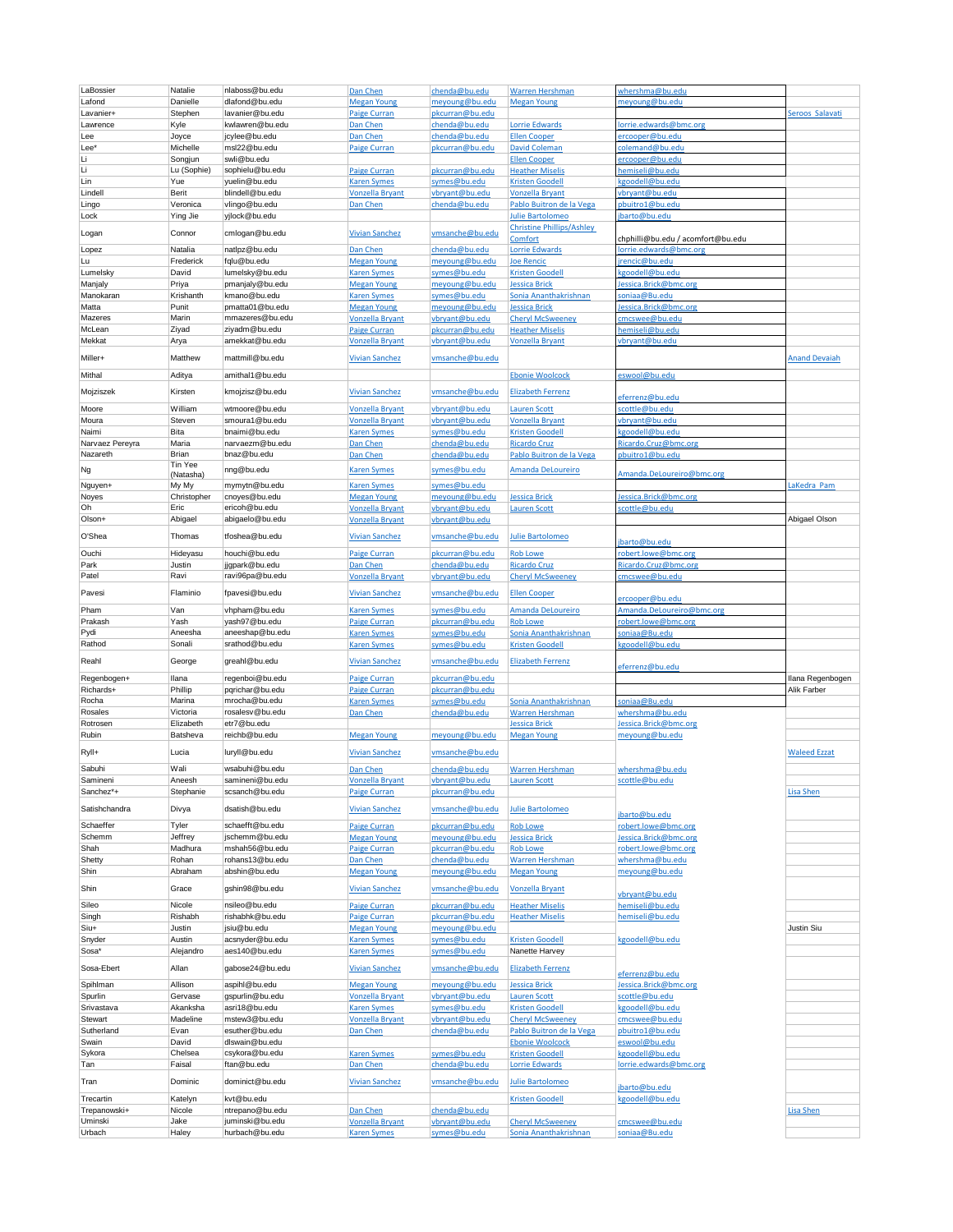| LaBossier         | Natalie       | nlaboss@bu.edu                    | Dan Chen                                     | chenda@bu.edu                  | <b>Warren Hershman</b>                           | whershma@bu.edu                   |                      |
|-------------------|---------------|-----------------------------------|----------------------------------------------|--------------------------------|--------------------------------------------------|-----------------------------------|----------------------|
| Lafond            | Danielle      | dlafond@bu.edu                    | <b>Megan Young</b>                           | meyoung@bu.edu                 | <b>Megan Young</b>                               | meyoung@bu.edu                    |                      |
|                   |               |                                   |                                              |                                |                                                  |                                   |                      |
| Lavanier+         | Stephen       | lavanier@bu.edu                   | Paige Curran                                 | pkcurran@bu.edu                |                                                  |                                   | Seroos Salavati      |
| Lawrence          | Kyle          | kwlawren@bu.edu                   | Dan Chen                                     | chenda@bu.edu                  | <b>Lorrie Edwards</b>                            | lorrie.edwards@bmc.org            |                      |
| Lee               | Joyce         | jcylee@bu.edu                     | Dan Chen                                     | chenda@bu.edu                  | <b>Ellen Cooper</b>                              | ercooper@bu.edu                   |                      |
|                   |               |                                   |                                              |                                |                                                  |                                   |                      |
| Lee'              | Michelle      | msl22@bu.edu                      | <b>Paige Curran</b>                          | pkcurran@bu.edu                | <b>David Coleman</b>                             | colemand@bu.edu                   |                      |
| Li                | Songjun       | swli@bu.edu                       |                                              |                                | <b>Ellen Cooper</b>                              | ercooper@bu.edu                   |                      |
| Li                | Lu (Sophie)   | sophielu@bu.edu                   | <b>Paige Curran</b>                          | pkcurran@bu.edu                | <b>Heather Miselis</b>                           | hemiseli@bu.edu                   |                      |
|                   |               |                                   |                                              |                                |                                                  |                                   |                      |
| Lin               | Yue           | yuelin@bu.edu                     | <b>Karen Symes</b>                           | symes@bu.edu                   | <b>Kristen Goodell</b>                           | kgoodell@bu.edu                   |                      |
| Lindell           | Berit         | blindell@bu.edu                   | <b>Vonzella Bryant</b>                       | vbryant@bu.edu                 | <b>Vonzella Bryant</b>                           | vbrvant@bu.edu                    |                      |
|                   |               |                                   |                                              |                                |                                                  | pbuitro1@bu.edu                   |                      |
| Lingo             | Veronica      | vlingo@bu.edu                     | Dan Chen                                     | chenda@bu.edu                  | Pablo Buitron de la Vega                         |                                   |                      |
| Lock              | Ying Jie      | yjlock@bu.edu                     |                                              |                                | <b>Julie Bartolomeo</b>                          | jbarto@bu.edu                     |                      |
|                   |               |                                   |                                              |                                | <b>Christine Phillips/Ashley</b>                 |                                   |                      |
| Logan             | Connor        | cmlogan@bu.edu                    | <b>Vivian Sanchez</b>                        | vmsanche@bu.edu                |                                                  |                                   |                      |
|                   |               |                                   |                                              |                                | Comfort                                          | chphilli@bu.edu / acomfort@bu.edu |                      |
| Lopez             | Natalia       | natlpz@bu.edu                     | Dan Chen                                     | chenda@bu.edu                  | Lorrie Edwards                                   | orrie.edwards@bmc.org             |                      |
| Lu                | Frederick     | fqlu@bu.edu                       | <b>Megan Young</b>                           | meyoung@bu.edu                 | <b>Joe Rencic</b>                                | jrencic@bu.edu                    |                      |
|                   |               |                                   |                                              |                                |                                                  |                                   |                      |
| Lumelsky          | David         | lumelsky@bu.edu                   | <b>Karen Symes</b>                           | symes@bu.edu                   | <b>Kristen Goodell</b>                           | kgoodell@bu.edu                   |                      |
| Manjaly           | Priya         | pmanjaly@bu.edu                   | <b>Megan Young</b>                           | meyoung@bu.edu                 | <b>Jessica Brick</b>                             | Jessica.Brick@bmc.org             |                      |
| Manokaran         | Krishanth     | kmano@bu.edu                      | <b>Karen Symes</b>                           | symes@bu.edu                   | Sonia Ananthakrishnan                            | soniaa@Bu.edu                     |                      |
|                   |               |                                   |                                              |                                |                                                  |                                   |                      |
| Matta             | Punit         | pmatta01@bu.edu                   | <b>Megan Young</b>                           | meyoung@bu.edu                 | <b>Jessica Brick</b>                             | Jessica.Brick@bmc.org             |                      |
| Mazeres           | Marin         | mmazeres@bu.edu                   | <b>Vonzella Bryant</b>                       | vbryant@bu.edu                 | <b>Cheryl McSweeney</b>                          | cmcswee@bu.edu                    |                      |
| McLean            | Ziyad         | ziyadm@bu.edu                     |                                              |                                | <b>Heather Miselis</b>                           | hemiseli@bu.edu                   |                      |
|                   |               |                                   | <b>Paige Curran</b>                          | pkcurran@bu.edu                |                                                  |                                   |                      |
| Mekkat            | Arya          | amekkat@bu.edu                    | <b>Vonzella Bryant</b>                       | vbryant@bu.edu                 | <b>Vonzella Bryant</b>                           | vbryant@bu.edu                    |                      |
|                   |               |                                   |                                              |                                |                                                  |                                   |                      |
| Miller+           | Matthew       | mattmill@bu.edu                   | <b>Vivian Sanchez</b>                        | vmsanche@bu.edu                |                                                  |                                   | <b>Anand Devaiah</b> |
|                   |               |                                   |                                              |                                |                                                  |                                   |                      |
| Mithal            | Aditya        | amithal1@bu.edu                   |                                              |                                | <b>Ebonie Woolcock</b>                           | eswool@bu.edu                     |                      |
|                   |               |                                   |                                              |                                |                                                  |                                   |                      |
| Mojziszek         | Kirsten       | kmojzisz@bu.edu                   | <b>Vivian Sanchez</b>                        | vmsanche@bu.edu                | <b>Elizabeth Ferrenz</b>                         |                                   |                      |
|                   |               |                                   |                                              |                                |                                                  | eferrenz@bu.edu                   |                      |
| Moore             | William       | wtmoore@bu.edu                    | <b>Vonzella Bryant</b>                       | vbryant@bu.edu                 | <b>Lauren Scott</b>                              | scottle@bu.edu                    |                      |
| Moura             | Steven        | smoura1@bu.edu                    | <b>Vonzella Bryant</b>                       | vbryant@bu.edu                 | <b>Vonzella Bryant</b>                           | vbryant@bu.edu                    |                      |
|                   |               |                                   |                                              |                                |                                                  |                                   |                      |
| Naimi             | Bita          | bnaimi@bu.edu                     | <b>Karen Symes</b>                           | symes@bu.edu                   | <b>Kristen Goodell</b>                           | kgoodell@bu.edu                   |                      |
| Narvaez Pereyra   | Maria         | narvaezm@bu.edu                   | Dan Chen                                     | chenda@bu.edu                  | <b>Ricardo Cruz</b>                              | Ricardo.Cruz@bmc.org              |                      |
| Nazareth          | Brian         | bnaz@bu.edu                       | Dan Chen                                     | chenda@bu.edu                  | Pablo Buitron de la Vega                         | pbuitro1@bu.edu                   |                      |
|                   |               |                                   |                                              |                                |                                                  |                                   |                      |
| Ng                | Tin Yee       | nng@bu.edu                        | <b>Karen Symes</b>                           | symes@bu.edu                   | <b>Amanda DeLoureiro</b>                         | Amanda.DeLoureiro@bmc.org         |                      |
|                   | (Natasha)     |                                   |                                              |                                |                                                  |                                   |                      |
| Nguyen+           | My My         | mymytn@bu.edu                     | <b>Karen Symes</b>                           | symes@bu.edu                   |                                                  |                                   | LaKedra Pam          |
| Noyes             | Christopher   | cnoyes@bu.edu                     | <b>Megan Young</b>                           | meyoung@bu.edu                 | <b>Jessica Brick</b>                             | Jessica.Brick@bmc.org             |                      |
|                   |               |                                   |                                              |                                |                                                  |                                   |                      |
| Oh                | Eric          | ericoh@bu.edu                     | <b>Vonzella Bryant</b>                       | vbryant@bu.edu                 | <b>Lauren Scott</b>                              | scottle@bu.edu                    |                      |
| Olson+            | Abigael       | abigaelo@bu.edu                   | <b>Vonzella Bryant</b>                       | vbryant@bu.edu                 |                                                  |                                   | Abigael Olson        |
|                   |               |                                   |                                              |                                |                                                  |                                   |                      |
| O'Shea            | Thomas        | tfoshea@bu.edu                    | <b>Vivian Sanchez</b>                        | vmsanche@bu.edu                | <b>Julie Bartolomeo</b>                          |                                   |                      |
|                   |               |                                   |                                              |                                |                                                  | barto@bu.edu                      |                      |
| Ouchi             | Hideyasu      | houchi@bu.edu                     | <b>Paige Curran</b>                          | pkcurran@bu.edu                | <b>Rob Lowe</b>                                  | robert.lowe@bmc.org               |                      |
| Park              | Justin        | jjgpark@bu.edu                    | Dan Chen                                     | chenda@bu.edu                  | <b>Ricardo Cruz</b>                              | Ricardo.Cruz@bmc.org              |                      |
|                   |               |                                   |                                              |                                |                                                  |                                   |                      |
| Patel             | Ravi          | ravi96pa@bu.edu                   | <b>Vonzella Bryant</b>                       | vbryant@bu.edu                 | <b>Cheryl McSweeney</b>                          | cmcswee@bu.edu                    |                      |
|                   |               |                                   |                                              |                                |                                                  |                                   |                      |
| Pavesi            | Flaminio      | fpavesi@bu.edu                    | <b>Vivian Sanchez</b>                        | vmsanche@bu.edu                | <b>Ellen Cooper</b>                              | ercooper@bu.edu                   |                      |
|                   |               |                                   |                                              |                                |                                                  |                                   |                      |
|                   | Van           | vhpham@bu.edu                     | <b>Karen Symes</b>                           | symes@bu.edu                   | Amanda DeLoureiro                                | Amanda.DeLoureiro@bmc.org         |                      |
| Pham              |               |                                   |                                              |                                |                                                  |                                   |                      |
| Prakash           | Yash          | yash97@bu.edu                     |                                              |                                |                                                  |                                   |                      |
|                   |               |                                   | Paige Curran                                 | pkcurran@bu.edu                | <b>Rob Lowe</b>                                  | robert.lowe@bmc.org               |                      |
| Pydi              | Aneesha       | aneeshap@bu.edu                   | <b>Karen Symes</b>                           | symes@bu.edu                   | Sonia Ananthakrishnan                            | soniaa@Bu.edu                     |                      |
| Rathod            | Sonali        | srathod@bu.edu                    | <b>Karen Symes</b>                           | symes@bu.edu                   | <b>Kristen Goodell</b>                           | kgoodell@bu.edu                   |                      |
|                   |               |                                   |                                              |                                |                                                  |                                   |                      |
| Reahl             | George        | greahl@bu.edu                     | <b>Vivian Sanchez</b>                        | vmsanche@bu.edu                | <b>Elizabeth Ferrenz</b>                         |                                   |                      |
|                   |               |                                   |                                              |                                |                                                  | eferrenz@bu.edu                   |                      |
| Regenbogen+       | Ilana         | regenboi@bu.edu                   | <b>Paige Curran</b>                          | pkcurran@bu.edu                |                                                  |                                   | llana Regenbogen     |
| Richards+         |               |                                   |                                              |                                |                                                  |                                   |                      |
|                   | Phillip       | pqrichar@bu.edu                   | Paige Curran                                 | pkcurran@bu.edu                |                                                  |                                   | Alik Farber          |
| Rocha             | Marina        | mrocha@bu.edu                     | <b>Karen Symes</b>                           | symes@bu.edu                   | Sonia Ananthakrishnan                            | soniaa@Bu.edu                     |                      |
| Rosales           | Victoria      | rosalesv@bu.edu                   | Dan Chen                                     | chenda@bu.edu                  | <b>Warren Hershman</b>                           | whershma@bu.edu                   |                      |
|                   |               |                                   |                                              |                                |                                                  |                                   |                      |
| Rotrosen          | Elizabeth     | etr7@bu.edu                       |                                              |                                | <b>Jessica Brick</b>                             | Jessica.Brick@bmc.org             |                      |
| Rubin             | Batsheva      | reichb@bu.edu                     | <b>Megan Young</b>                           | meyoung@bu.edu                 | <b>Megan Young</b>                               | meyoung@bu.edu                    |                      |
|                   |               |                                   |                                              |                                |                                                  |                                   |                      |
| Ryll+             | Lucia         | luryll@bu.edu                     | <b>Vivian Sanchez</b>                        | vmsanche@bu.edu                |                                                  |                                   | <b>Waleed Ezzat</b>  |
|                   |               |                                   |                                              |                                |                                                  |                                   |                      |
| Sabuhi            | Wali          | wsabuhi@bu.edu                    | Dan Chen                                     | chenda@bu.edu                  | <b>Warren Hershman</b>                           | <u>whershma@bu.edu</u>            |                      |
| Samineni          | Aneesh        | samineni@bu.edu                   | <b>Vonzella Bryant</b>                       | vhrvant@hu.edu                 | <b>Lauren Scott</b>                              | uhe ud@elttops                    |                      |
|                   |               |                                   |                                              |                                |                                                  |                                   |                      |
| Sanchez*+         | Stephanie     | scsanch@bu.edu                    | Paige Curran                                 | pkcurran@bu.edu                |                                                  |                                   | Lisa Shen            |
|                   |               |                                   |                                              |                                |                                                  |                                   |                      |
| Satishchandra     | Divya         | dsatish@bu.edu                    | <b>Vivian Sanchez</b>                        | vmsanche@bu.edu                | <b>Julie Bartolomeo</b>                          | jbarto@bu.edu                     |                      |
| Schaeffer         | Tyler         | schaefft@bu.edu                   | <b>Paige Curran</b>                          | pkcurran@bu.edu                | <b>Rob Lowe</b>                                  | robert.lowe@bmc.org               |                      |
|                   |               |                                   |                                              |                                |                                                  |                                   |                      |
| Schemm            | Jeffrey       | jschemm@bu.edu                    | <b>Megan Young</b>                           | meyoung@bu.edu                 | <b>Jessica Brick</b>                             | Jessica.Brick@bmc.org             |                      |
| Shah              | Madhura       | mshah56@bu.edu                    | Paige Curran                                 | pkcurran@bu.edu                | <b>Rob Lowe</b>                                  | robert.lowe@bmc.org               |                      |
|                   |               |                                   |                                              |                                |                                                  |                                   |                      |
| Shetty            | Rohan         | rohans13@bu.edu                   | Dan Chen                                     | chenda@bu.edu                  | <b>Warren Hershman</b>                           | whershma@bu.edu                   |                      |
| Shin              | Abraham       | abshin@bu.edu                     | <b>Megan Young</b>                           | meyoung@bu.edu                 | <b>Megan Young</b>                               | meyoung@bu.edu                    |                      |
|                   |               |                                   |                                              |                                |                                                  |                                   |                      |
| Shin              | Grace         | gshin98@bu.edu                    | <b>Vivian Sanchez</b>                        | vmsanche@bu.edu                | <b>Vonzella Bryant</b>                           |                                   |                      |
|                   |               |                                   |                                              |                                |                                                  | vbryant@bu.edu                    |                      |
| Sileo             | Nicole        | nsileo@bu.edu                     | Paige Curran                                 | pkcurran@bu.edu                | <b>Heather Miselis</b>                           | hemiseli@bu.edu                   |                      |
| Singh             | Rishabh       | rishabhk@bu.edu                   | <b>Paige Curran</b>                          | pkcurran@bu.edu                | <b>Heather Miselis</b>                           | hemiseli@bu.edu                   |                      |
| Siu+              | Justin        | jsiu@bu.edu                       | <b>Megan Young</b>                           | meyoung@bu.edu                 |                                                  |                                   | Justin Siu           |
|                   |               |                                   |                                              |                                |                                                  |                                   |                      |
| Snyder            | Austin        | acsnyder@bu.edu                   | <b>Karen Symes</b>                           | symes@bu.edu                   | <b>Kristen Goodell</b>                           | kgoodell@bu.edu                   |                      |
| Sosa*             | Alejandro     | aes140@bu.edu                     | <b>Karen Symes</b>                           | symes@bu.edu                   | Nanette Harvey                                   |                                   |                      |
|                   |               |                                   |                                              |                                |                                                  |                                   |                      |
| Sosa-Ebert        | Allan         | gabose24@bu.edu                   | <b>Vivian Sanchez</b>                        | vmsanche@bu.edu                | <b>Elizabeth Ferrenz</b>                         |                                   |                      |
|                   |               |                                   |                                              |                                |                                                  | eferrenz@bu.edu                   |                      |
| Spihlman          | Allison       | aspihl@bu.edu                     | <b>Megan Young</b>                           | meyoung@bu.edu                 | <b>Jessica Brick</b>                             | Jessica.Brick@bmc.org             |                      |
|                   |               |                                   |                                              |                                |                                                  |                                   |                      |
| Spurlin           | Gervase       | gspurlin@bu.edu                   | <b>Vonzella Bryant</b>                       | vbryant@bu.edu                 | <b>Lauren Scott</b>                              | scottle@bu.edu                    |                      |
| Srivastava        | Akanksha      | asri18@bu.edu                     | <b>Karen Symes</b>                           | symes@bu.edu                   | <b>Kristen Goodell</b>                           | kgoodell@bu.edu                   |                      |
| Stewart           | Madeline      | mstew3@bu.edu                     | <b>Vonzella Bryant</b>                       | vbryant@bu.edu                 | <b>Cheryl McSweeney</b>                          |                                   |                      |
|                   |               |                                   |                                              |                                |                                                  | cmcswee@bu.edu                    |                      |
| Sutherland        | Evan          | esuther@bu.edu                    | Dan Chen                                     | chenda@bu.edu                  | Pablo Buitron de la Vega                         | pbuitro1@bu.edu                   |                      |
| Swain             | David         | dlswain@bu.edu                    |                                              |                                | <b>Ebonie Woolcock</b>                           | eswool@bu.edu                     |                      |
|                   |               |                                   |                                              |                                |                                                  |                                   |                      |
| Sykora            | Chelsea       | csykora@bu.edu                    | <b>Karen Symes</b>                           | symes@bu.edu                   | <b>Kristen Goodell</b>                           | kgoodell@bu.edu                   |                      |
| Tan               | Faisal        | ftan@bu.edu                       | Dan Chen                                     | chenda@bu.edu                  | Lorrie Edwards                                   | lorrie.edwards@bmc.org            |                      |
|                   |               |                                   |                                              |                                |                                                  |                                   |                      |
| Tran              | Dominic       | dominict@bu.edu                   | <b>Vivian Sanchez</b>                        | vmsanche@bu.edu                | <b>Julie Bartolomeo</b>                          | jbarto@bu.edu                     |                      |
|                   |               |                                   |                                              |                                |                                                  |                                   |                      |
| Trecartin         | Katelyn       | kvt@bu.edu                        |                                              |                                | <b>Kristen Goodell</b>                           | kgoodell@bu.edu                   |                      |
| Trepanowski+      | Nicole        | ntrepano@bu.edu                   | Dan Chen                                     | chenda@bu.edu                  |                                                  |                                   | <b>Lisa Shen</b>     |
|                   |               |                                   |                                              |                                |                                                  |                                   |                      |
| Uminski<br>Urbach | Jake<br>Haley | juminski@bu.edu<br>hurbach@bu.edu | <b>Vonzella Bryant</b><br><b>Karen Symes</b> | vbryant@bu.edu<br>symes@bu.edu | <b>Cheryl McSweeney</b><br>Sonia Ananthakrishnan | cmcswee@bu.edu<br>soniaa@Bu.edu   |                      |